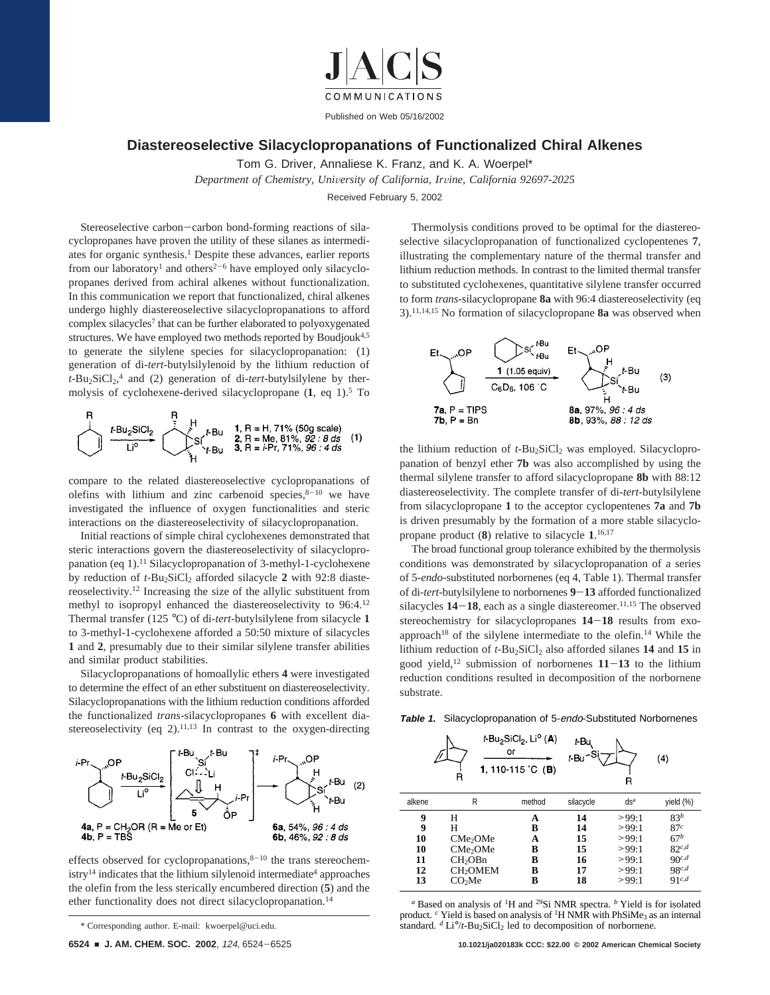

## **Diastereoselective Silacyclopropanations of Functionalized Chiral Alkenes**

Tom G. Driver, Annaliese K. Franz, and K. A. Woerpel\*

*Department of Chemistry, Uni*V*ersity of California, Ir*V*ine, California 92697-2025*

Received February 5, 2002

Stereoselective carbon-carbon bond-forming reactions of silacyclopropanes have proven the utility of these silanes as intermediates for organic synthesis.<sup>1</sup> Despite these advances, earlier reports from our laboratory<sup>1</sup> and others<sup>2-6</sup> have employed only silacyclopropanes derived from achiral alkenes without functionalization. In this communication we report that functionalized, chiral alkenes undergo highly diastereoselective silacyclopropanations to afford complex silacycles<sup>7</sup> that can be further elaborated to polyoxygenated structures. We have employed two methods reported by Boudjouk<sup>4,5</sup> to generate the silylene species for silacyclopropanation: (1) generation of di-*tert*-butylsilylenoid by the lithium reduction of t-Bu<sub>2</sub>SiCl<sub>2</sub>,<sup>4</sup> and (2) generation of di-tert-butylsilylene by thermolysis of cyclohexene-derived silacyclopropane (**1**, eq 1).5 To



compare to the related diastereoselective cyclopropanations of olefins with lithium and zinc carbenoid species, $8-10$  we have investigated the influence of oxygen functionalities and steric interactions on the diastereoselectivity of silacyclopropanation.

Initial reactions of simple chiral cyclohexenes demonstrated that steric interactions govern the diastereoselectivity of silacyclopropanation (eq 1).11 Silacyclopropanation of 3-methyl-1-cyclohexene by reduction of *t*-Bu<sub>2</sub>SiCl<sub>2</sub> afforded silacycle 2 with 92:8 diastereoselectivity.12 Increasing the size of the allylic substituent from methyl to isopropyl enhanced the diastereoselectivity to 96:4.12 Thermal transfer (125 °C) of di-*tert*-butylsilylene from silacycle **1** to 3-methyl-1-cyclohexene afforded a 50:50 mixture of silacycles **1** and **2**, presumably due to their similar silylene transfer abilities and similar product stabilities.

Silacyclopropanations of homoallylic ethers **4** were investigated to determine the effect of an ether substituent on diastereoselectivity. Silacyclopropanations with the lithium reduction conditions afforded the functionalized *trans-*silacyclopropanes **6** with excellent diastereoselectivity (eq 2).<sup>11,13</sup> In contrast to the oxygen-directing



effects observed for cyclopropanations, $8^{-10}$  the trans stereochemistry<sup>14</sup> indicates that the lithium silylenoid intermediate<sup>4</sup> approaches the olefin from the less sterically encumbered direction (**5**) and the ether functionality does not direct silacyclopropanation.14

Thermolysis conditions proved to be optimal for the diastereoselective silacyclopropanation of functionalized cyclopentenes **7**, illustrating the complementary nature of the thermal transfer and lithium reduction methods. In contrast to the limited thermal transfer to substituted cyclohexenes, quantitative silylene transfer occurred to form *trans*-silacyclopropane **8a** with 96:4 diastereoselectivity (eq 3).11,14,15 No formation of silacyclopropane **8a** was observed when



the lithium reduction of *t*-Bu<sub>2</sub>SiCl<sub>2</sub> was employed. Silacyclopropanation of benzyl ether **7b** was also accomplished by using the thermal silylene transfer to afford silacyclopropane **8b** with 88:12 diastereoselectivity. The complete transfer of di-*tert*-butylsilylene from silacyclopropane **1** to the acceptor cyclopentenes **7a** and **7b** is driven presumably by the formation of a more stable silacyclopropane product (**8**) relative to silacycle **1**. 16,17

The broad functional group tolerance exhibited by the thermolysis conditions was demonstrated by silacyclopropanation of a series of 5-*endo*-substituted norbornenes (eq 4, Table 1). Thermal transfer of di-*tert*-butylsilylene to norbornenes **<sup>9</sup>**-**<sup>13</sup>** afforded functionalized silacycles  $14-18$ , each as a single diastereomer.<sup>11,15</sup> The observed stereochemistry for silacyclopropanes **<sup>14</sup>**-**<sup>18</sup>** results from exoapproach<sup>18</sup> of the silylene intermediate to the olefin.<sup>14</sup> While the lithium reduction of *t*-Bu<sub>2</sub>SiCl<sub>2</sub> also afforded silanes **14** and **15** in good yield,<sup>12</sup> submission of norbornenes  $11-13$  to the lithium reduction conditions resulted in decomposition of the norbornene substrate.

**Table 1.** Silacyclopropanation of 5-endo-Substituted Norbornenes

|        | R                    | <i>t</i> -Bu <sub>2</sub> SiCl <sub>2</sub> , Li <sup>o</sup> ( <b>A</b> )<br>or<br>1, 110-115 °C (B) | t-Bu<br>t-Bu | R      | (4)             |
|--------|----------------------|-------------------------------------------------------------------------------------------------------|--------------|--------|-----------------|
| alkene | R                    | method                                                                                                | silacycle    | $ds^a$ | yield (%)       |
| 9      | Н                    | A                                                                                                     | 14           | >99:1  | 83 <sup>b</sup> |
| 9      | Н                    | B                                                                                                     | 14           | >99:1  | 87c             |
| 10     | CMe <sub>2</sub> OMe | A                                                                                                     | 15           | >99:1  | $67^b$          |
| 10     | CMe <sub>2</sub> OMe | в                                                                                                     | 15           | >99:1  | $82^{c,d}$      |
| 11     | CH <sub>2</sub> OBn  | в                                                                                                     | 16           | >99:1  | 90c,d           |
| 12     | CH <sub>2</sub> OMEM | B                                                                                                     | 17           | >99:1  | 98c,d           |
| 13     | CO <sub>2</sub> Me   | B                                                                                                     | 18           | >99:1  | $91^{c,d}$      |

*<sup>a</sup>* Based on analysis of 1H and 29Si NMR spectra. *<sup>b</sup>* Yield is for isolated product. <sup>*c*</sup> Yield is based on analysis of <sup>1</sup>H NMR with PhSiMe<sub>3</sub> as an internal standard. <sup>*d*</sup> Li°/*t*-Bu<sub>2</sub>SiCl<sub>2</sub> led to decomposition of norbornene.

<sup>\*</sup> Corresponding author. E-mail: kwoerpel@uci.edu.